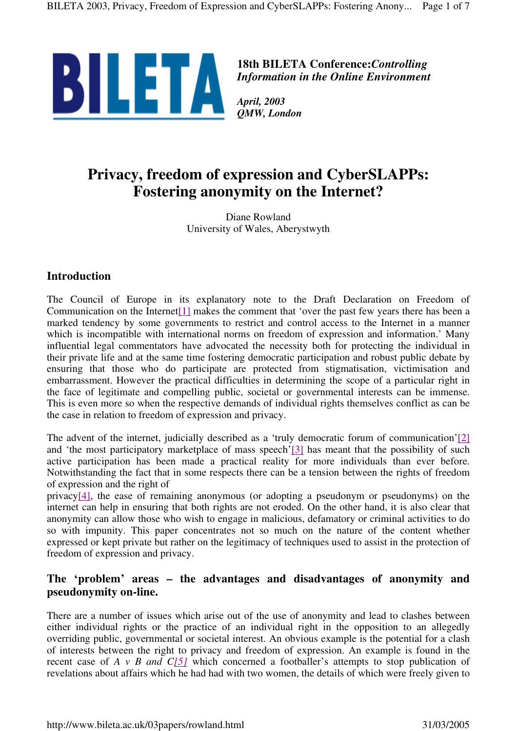

**18th BILETA Conference:***Controlling Information in the Online Environment*

*QMW, London*

# **Privacy, freedom of expression and CyberSLAPPs: Fostering anonymity on the Internet?**

Diane Rowland University of Wales, Aberystwyth

## **Introduction**

The Council of Europe in its explanatory note to the Draft Declaration on Freedom of Communication on the Internet[1] makes the comment that 'over the past few years there has been a marked tendency by some governments to restrict and control access to the Internet in a manner which is incompatible with international norms on freedom of expression and information.' Many influential legal commentators have advocated the necessity both for protecting the individual in their private life and at the same time fostering democratic participation and robust public debate by ensuring that those who do participate are protected from stigmatisation, victimisation and embarrassment. However the practical difficulties in determining the scope of a particular right in the face of legitimate and compelling public, societal or governmental interests can be immense. This is even more so when the respective demands of individual rights themselves conflict as can be the case in relation to freedom of expression and privacy.

The advent of the internet, judicially described as a 'truly democratic forum of communication'[2] and 'the most participatory marketplace of mass speech'[3] has meant that the possibility of such active participation has been made a practical reality for more individuals than ever before. Notwithstanding the fact that in some respects there can be a tension between the rights of freedom of expression and the right of

privacy[4], the ease of remaining anonymous (or adopting a pseudonym or pseudonyms) on the internet can help in ensuring that both rights are not eroded. On the other hand, it is also clear that anonymity can allow those who wish to engage in malicious, defamatory or criminal activities to do so with impunity. This paper concentrates not so much on the nature of the content whether expressed or kept private but rather on the legitimacy of techniques used to assist in the protection of freedom of expression and privacy.

## **The 'problem' areas – the advantages and disadvantages of anonymity and pseudonymity on-line.**

There are a number of issues which arise out of the use of anonymity and lead to clashes between either individual rights or the practice of an individual right in the opposition to an allegedly overriding public, governmental or societal interest. An obvious example is the potential for a clash of interests between the right to privacy and freedom of expression. An example is found in the recent case of *A v B and C[5]* which concerned a footballer's attempts to stop publication of revelations about affairs which he had had with two women, the details of which were freely given to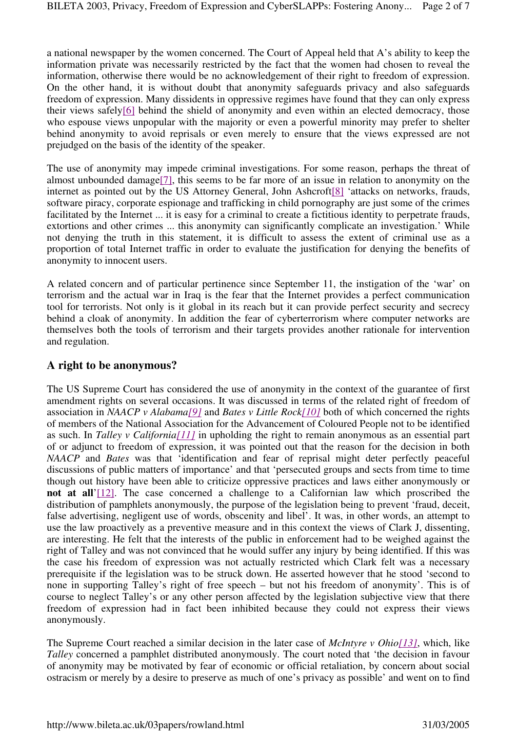a national newspaper by the women concerned. The Court of Appeal held that A's ability to keep the information private was necessarily restricted by the fact that the women had chosen to reveal the information, otherwise there would be no acknowledgement of their right to freedom of expression. On the other hand, it is without doubt that anonymity safeguards privacy and also safeguards freedom of expression. Many dissidents in oppressive regimes have found that they can only express their views safely[6] behind the shield of anonymity and even within an elected democracy, those who espouse views unpopular with the majority or even a powerful minority may prefer to shelter behind anonymity to avoid reprisals or even merely to ensure that the views expressed are not prejudged on the basis of the identity of the speaker.

The use of anonymity may impede criminal investigations. For some reason, perhaps the threat of almost unbounded damage[7], this seems to be far more of an issue in relation to anonymity on the internet as pointed out by the US Attorney General, John Ashcroft[8] 'attacks on networks, frauds, software piracy, corporate espionage and trafficking in child pornography are just some of the crimes facilitated by the Internet ... it is easy for a criminal to create a fictitious identity to perpetrate frauds, extortions and other crimes ... this anonymity can significantly complicate an investigation.' While not denying the truth in this statement, it is difficult to assess the extent of criminal use as a proportion of total Internet traffic in order to evaluate the justification for denying the benefits of anonymity to innocent users.

A related concern and of particular pertinence since September 11, the instigation of the 'war' on terrorism and the actual war in Iraq is the fear that the Internet provides a perfect communication tool for terrorists. Not only is it global in its reach but it can provide perfect security and secrecy behind a cloak of anonymity. In addition the fear of cyberterrorism where computer networks are themselves both the tools of terrorism and their targets provides another rationale for intervention and regulation.

### **A right to be anonymous?**

The US Supreme Court has considered the use of anonymity in the context of the guarantee of first amendment rights on several occasions. It was discussed in terms of the related right of freedom of association in *NAACP v Alabama[9]* and *Bates v Little Rock[10]* both of which concerned the rights of members of the National Association for the Advancement of Coloured People not to be identified as such. In *Talley v California[11]* in upholding the right to remain anonymous as an essential part of or adjunct to freedom of expression, it was pointed out that the reason for the decision in both *NAACP* and *Bates* was that 'identification and fear of reprisal might deter perfectly peaceful discussions of public matters of importance' and that 'persecuted groups and sects from time to time though out history have been able to criticize oppressive practices and laws either anonymously or **not at all**'[12]. The case concerned a challenge to a Californian law which proscribed the distribution of pamphlets anonymously, the purpose of the legislation being to prevent 'fraud, deceit, false advertising, negligent use of words, obscenity and libel'. It was, in other words, an attempt to use the law proactively as a preventive measure and in this context the views of Clark J, dissenting, are interesting. He felt that the interests of the public in enforcement had to be weighed against the right of Talley and was not convinced that he would suffer any injury by being identified. If this was the case his freedom of expression was not actually restricted which Clark felt was a necessary prerequisite if the legislation was to be struck down. He asserted however that he stood 'second to none in supporting Talley's right of free speech – but not his freedom of anonymity'. This is of course to neglect Talley's or any other person affected by the legislation subjective view that there freedom of expression had in fact been inhibited because they could not express their views anonymously.

The Supreme Court reached a similar decision in the later case of *McIntyre v Ohio[13]*, which, like *Talley* concerned a pamphlet distributed anonymously. The court noted that 'the decision in favour of anonymity may be motivated by fear of economic or official retaliation, by concern about social ostracism or merely by a desire to preserve as much of one's privacy as possible' and went on to find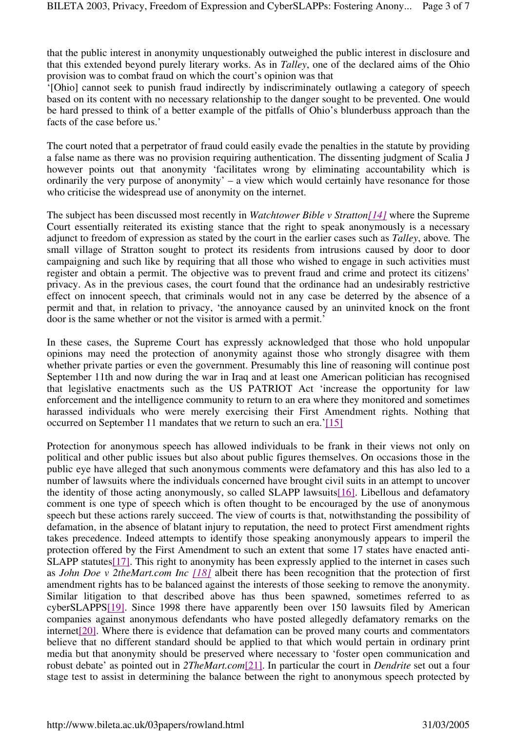that the public interest in anonymity unquestionably outweighed the public interest in disclosure and that this extended beyond purely literary works. As in *Talley*, one of the declared aims of the Ohio provision was to combat fraud on which the court's opinion was that

'[Ohio] cannot seek to punish fraud indirectly by indiscriminately outlawing a category of speech based on its content with no necessary relationship to the danger sought to be prevented. One would be hard pressed to think of a better example of the pitfalls of Ohio's blunderbuss approach than the facts of the case before us.'

The court noted that a perpetrator of fraud could easily evade the penalties in the statute by providing a false name as there was no provision requiring authentication. The dissenting judgment of Scalia J however points out that anonymity 'facilitates wrong by eliminating accountability which is ordinarily the very purpose of anonymity' – a view which would certainly have resonance for those who criticise the widespread use of anonymity on the internet.

The subject has been discussed most recently in *Watchtower Bible v Stratton[14]* where the Supreme Court essentially reiterated its existing stance that the right to speak anonymously is a necessary adjunct to freedom of expression as stated by the court in the earlier cases such as *Talley*, above*.* The small village of Stratton sought to protect its residents from intrusions caused by door to door campaigning and such like by requiring that all those who wished to engage in such activities must register and obtain a permit. The objective was to prevent fraud and crime and protect its citizens' privacy. As in the previous cases, the court found that the ordinance had an undesirably restrictive effect on innocent speech, that criminals would not in any case be deterred by the absence of a permit and that, in relation to privacy, 'the annoyance caused by an uninvited knock on the front door is the same whether or not the visitor is armed with a permit.'

In these cases, the Supreme Court has expressly acknowledged that those who hold unpopular opinions may need the protection of anonymity against those who strongly disagree with them whether private parties or even the government. Presumably this line of reasoning will continue post September 11th and now during the war in Iraq and at least one American politician has recognised that legislative enactments such as the US PATRIOT Act 'increase the opportunity for law enforcement and the intelligence community to return to an era where they monitored and sometimes harassed individuals who were merely exercising their First Amendment rights. Nothing that occurred on September 11 mandates that we return to such an era.'[15]

Protection for anonymous speech has allowed individuals to be frank in their views not only on political and other public issues but also about public figures themselves. On occasions those in the public eye have alleged that such anonymous comments were defamatory and this has also led to a number of lawsuits where the individuals concerned have brought civil suits in an attempt to uncover the identity of those acting anonymously, so called SLAPP lawsuits[16]. Libellous and defamatory comment is one type of speech which is often thought to be encouraged by the use of anonymous speech but these actions rarely succeed. The view of courts is that, notwithstanding the possibility of defamation, in the absence of blatant injury to reputation, the need to protect First amendment rights takes precedence. Indeed attempts to identify those speaking anonymously appears to imperil the protection offered by the First Amendment to such an extent that some 17 states have enacted anti-SLAPP statutes[17]. This right to anonymity has been expressly applied to the internet in cases such as *John Doe v 2theMart.com Inc [18]* albeit there has been recognition that the protection of first amendment rights has to be balanced against the interests of those seeking to remove the anonymity. Similar litigation to that described above has thus been spawned, sometimes referred to as cyberSLAPPS[19]. Since 1998 there have apparently been over 150 lawsuits filed by American companies against anonymous defendants who have posted allegedly defamatory remarks on the internet<sup>[20]</sup>. Where there is evidence that defamation can be proved many courts and commentators believe that no different standard should be applied to that which would pertain in ordinary print media but that anonymity should be preserved where necessary to 'foster open communication and robust debate' as pointed out in *2TheMart.com*[21]. In particular the court in *Dendrite* set out a four stage test to assist in determining the balance between the right to anonymous speech protected by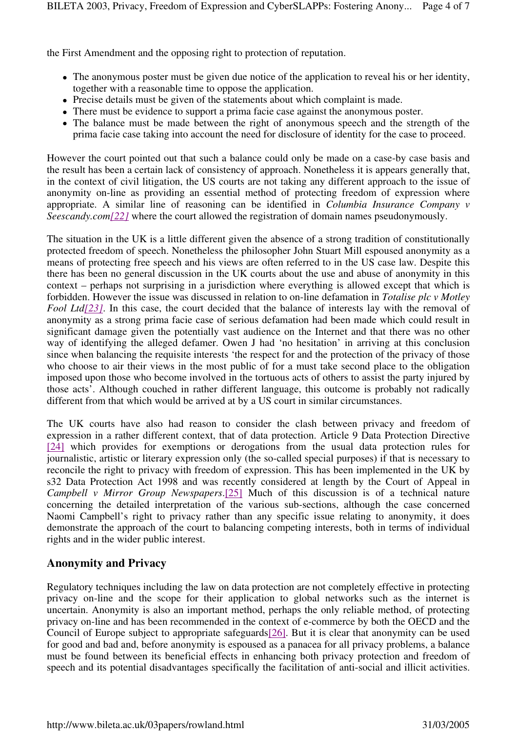the First Amendment and the opposing right to protection of reputation.

- The anonymous poster must be given due notice of the application to reveal his or her identity, together with a reasonable time to oppose the application.
- Precise details must be given of the statements about which complaint is made.
- There must be evidence to support a prima facie case against the anonymous poster.
- The balance must be made between the right of anonymous speech and the strength of the prima facie case taking into account the need for disclosure of identity for the case to proceed.

However the court pointed out that such a balance could only be made on a case-by case basis and the result has been a certain lack of consistency of approach. Nonetheless it is appears generally that, in the context of civil litigation, the US courts are not taking any different approach to the issue of anonymity on-line as providing an essential method of protecting freedom of expression where appropriate. A similar line of reasoning can be identified in *Columbia Insurance Company v Seescandy.com[22]* where the court allowed the registration of domain names pseudonymously.

The situation in the UK is a little different given the absence of a strong tradition of constitutionally protected freedom of speech. Nonetheless the philosopher John Stuart Mill espoused anonymity as a means of protecting free speech and his views are often referred to in the US case law. Despite this there has been no general discussion in the UK courts about the use and abuse of anonymity in this context – perhaps not surprising in a jurisdiction where everything is allowed except that which is forbidden. However the issue was discussed in relation to on-line defamation in *Totalise plc v Motley Fool Ltd*[23]. In this case, the court decided that the balance of interests lay with the removal of anonymity as a strong prima facie case of serious defamation had been made which could result in significant damage given the potentially vast audience on the Internet and that there was no other way of identifying the alleged defamer. Owen J had 'no hesitation' in arriving at this conclusion since when balancing the requisite interests 'the respect for and the protection of the privacy of those who choose to air their views in the most public of for a must take second place to the obligation imposed upon those who become involved in the tortuous acts of others to assist the party injured by those acts'. Although couched in rather different language, this outcome is probably not radically different from that which would be arrived at by a US court in similar circumstances.

The UK courts have also had reason to consider the clash between privacy and freedom of expression in a rather different context, that of data protection. Article 9 Data Protection Directive [24] which provides for exemptions or derogations from the usual data protection rules for journalistic, artistic or literary expression only (the so-called special purposes) if that is necessary to reconcile the right to privacy with freedom of expression. This has been implemented in the UK by s32 Data Protection Act 1998 and was recently considered at length by the Court of Appeal in *Campbell v Mirror Group Newspapers*.[25] Much of this discussion is of a technical nature concerning the detailed interpretation of the various sub-sections, although the case concerned Naomi Campbell's right to privacy rather than any specific issue relating to anonymity, it does demonstrate the approach of the court to balancing competing interests, both in terms of individual rights and in the wider public interest.

#### **Anonymity and Privacy**

Regulatory techniques including the law on data protection are not completely effective in protecting privacy on-line and the scope for their application to global networks such as the internet is uncertain. Anonymity is also an important method, perhaps the only reliable method, of protecting privacy on-line and has been recommended in the context of e-commerce by both the OECD and the Council of Europe subject to appropriate safeguards[26]. But it is clear that anonymity can be used for good and bad and, before anonymity is espoused as a panacea for all privacy problems, a balance must be found between its beneficial effects in enhancing both privacy protection and freedom of speech and its potential disadvantages specifically the facilitation of anti-social and illicit activities.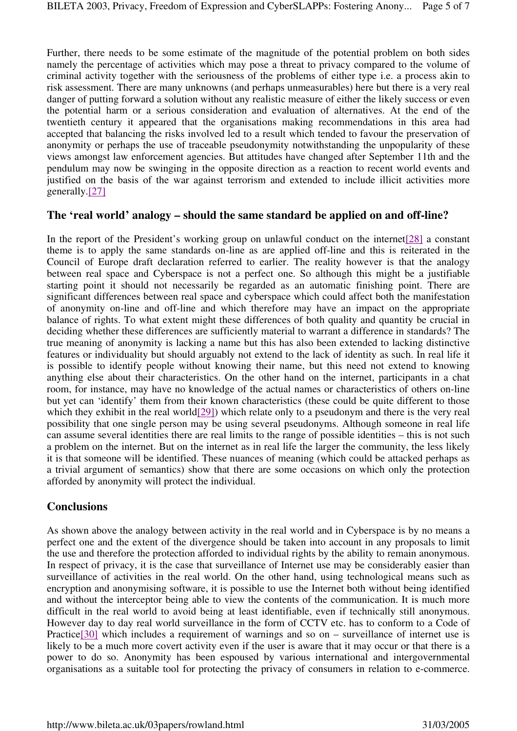Further, there needs to be some estimate of the magnitude of the potential problem on both sides namely the percentage of activities which may pose a threat to privacy compared to the volume of criminal activity together with the seriousness of the problems of either type i.e. a process akin to risk assessment. There are many unknowns (and perhaps unmeasurables) here but there is a very real danger of putting forward a solution without any realistic measure of either the likely success or even the potential harm or a serious consideration and evaluation of alternatives. At the end of the twentieth century it appeared that the organisations making recommendations in this area had accepted that balancing the risks involved led to a result which tended to favour the preservation of anonymity or perhaps the use of traceable pseudonymity notwithstanding the unpopularity of these views amongst law enforcement agencies. But attitudes have changed after September 11th and the pendulum may now be swinging in the opposite direction as a reaction to recent world events and justified on the basis of the war against terrorism and extended to include illicit activities more generally.[27]

#### **The 'real world' analogy – should the same standard be applied on and off-line?**

In the report of the President's working group on unlawful conduct on the internet[28] a constant theme is to apply the same standards on-line as are applied off-line and this is reiterated in the Council of Europe draft declaration referred to earlier. The reality however is that the analogy between real space and Cyberspace is not a perfect one. So although this might be a justifiable starting point it should not necessarily be regarded as an automatic finishing point. There are significant differences between real space and cyberspace which could affect both the manifestation of anonymity on-line and off-line and which therefore may have an impact on the appropriate balance of rights. To what extent might these differences of both quality and quantity be crucial in deciding whether these differences are sufficiently material to warrant a difference in standards? The true meaning of anonymity is lacking a name but this has also been extended to lacking distinctive features or individuality but should arguably not extend to the lack of identity as such. In real life it is possible to identify people without knowing their name, but this need not extend to knowing anything else about their characteristics. On the other hand on the internet, participants in a chat room, for instance, may have no knowledge of the actual names or characteristics of others on-line but yet can 'identify' them from their known characteristics (these could be quite different to those which they exhibit in the real world $[29]$ ) which relate only to a pseudonym and there is the very real possibility that one single person may be using several pseudonyms. Although someone in real life can assume several identities there are real limits to the range of possible identities – this is not such a problem on the internet. But on the internet as in real life the larger the community, the less likely it is that someone will be identified. These nuances of meaning (which could be attacked perhaps as a trivial argument of semantics) show that there are some occasions on which only the protection afforded by anonymity will protect the individual.

#### **Conclusions**

As shown above the analogy between activity in the real world and in Cyberspace is by no means a perfect one and the extent of the divergence should be taken into account in any proposals to limit the use and therefore the protection afforded to individual rights by the ability to remain anonymous. In respect of privacy, it is the case that surveillance of Internet use may be considerably easier than surveillance of activities in the real world. On the other hand, using technological means such as encryption and anonymising software, it is possible to use the Internet both without being identified and without the interceptor being able to view the contents of the communication. It is much more difficult in the real world to avoid being at least identifiable, even if technically still anonymous. However day to day real world surveillance in the form of CCTV etc. has to conform to a Code of Practice[30] which includes a requirement of warnings and so on – surveillance of internet use is likely to be a much more covert activity even if the user is aware that it may occur or that there is a power to do so. Anonymity has been espoused by various international and intergovernmental organisations as a suitable tool for protecting the privacy of consumers in relation to e-commerce.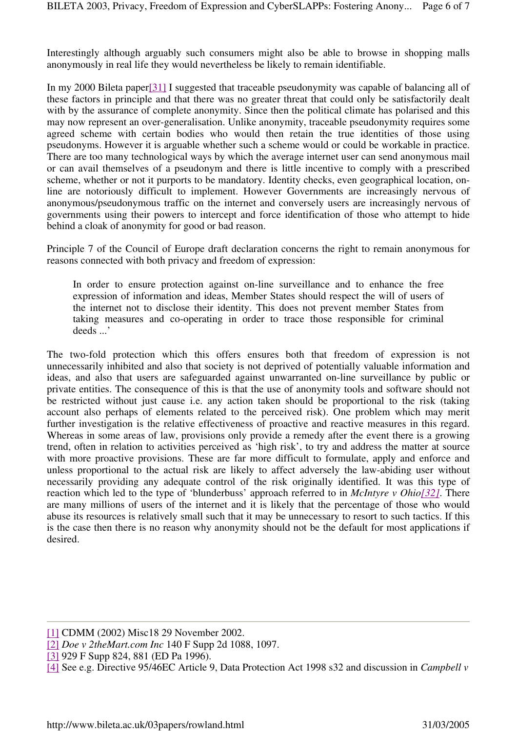Interestingly although arguably such consumers might also be able to browse in shopping malls anonymously in real life they would nevertheless be likely to remain identifiable.

In my 2000 Bileta paper[31] I suggested that traceable pseudonymity was capable of balancing all of these factors in principle and that there was no greater threat that could only be satisfactorily dealt with by the assurance of complete anonymity. Since then the political climate has polarised and this may now represent an over-generalisation. Unlike anonymity, traceable pseudonymity requires some agreed scheme with certain bodies who would then retain the true identities of those using pseudonyms. However it is arguable whether such a scheme would or could be workable in practice. There are too many technological ways by which the average internet user can send anonymous mail or can avail themselves of a pseudonym and there is little incentive to comply with a prescribed scheme, whether or not it purports to be mandatory. Identity checks, even geographical location, online are notoriously difficult to implement. However Governments are increasingly nervous of anonymous/pseudonymous traffic on the internet and conversely users are increasingly nervous of governments using their powers to intercept and force identification of those who attempt to hide behind a cloak of anonymity for good or bad reason.

Principle 7 of the Council of Europe draft declaration concerns the right to remain anonymous for reasons connected with both privacy and freedom of expression:

In order to ensure protection against on-line surveillance and to enhance the free expression of information and ideas, Member States should respect the will of users of the internet not to disclose their identity. This does not prevent member States from taking measures and co-operating in order to trace those responsible for criminal deeds ...'

The two-fold protection which this offers ensures both that freedom of expression is not unnecessarily inhibited and also that society is not deprived of potentially valuable information and ideas, and also that users are safeguarded against unwarranted on-line surveillance by public or private entities. The consequence of this is that the use of anonymity tools and software should not be restricted without just cause i.e. any action taken should be proportional to the risk (taking account also perhaps of elements related to the perceived risk). One problem which may merit further investigation is the relative effectiveness of proactive and reactive measures in this regard. Whereas in some areas of law, provisions only provide a remedy after the event there is a growing trend, often in relation to activities perceived as 'high risk', to try and address the matter at source with more proactive provisions. These are far more difficult to formulate, apply and enforce and unless proportional to the actual risk are likely to affect adversely the law-abiding user without necessarily providing any adequate control of the risk originally identified. It was this type of reaction which led to the type of 'blunderbuss' approach referred to in *McIntyre v Ohio[32]*. There are many millions of users of the internet and it is likely that the percentage of those who would abuse its resources is relatively small such that it may be unnecessary to resort to such tactics. If this is the case then there is no reason why anonymity should not be the default for most applications if desired.

<sup>[1]</sup> CDMM (2002) Misc18 29 November 2002.

<sup>[2]</sup> *Doe v 2theMart.com Inc* 140 F Supp 2d 1088, 1097.

<sup>[3] 929</sup> F Supp 824, 881 (ED Pa 1996).

<sup>[4]</sup> See e.g. Directive 95/46EC Article 9, Data Protection Act 1998 s32 and discussion in *Campbell v*